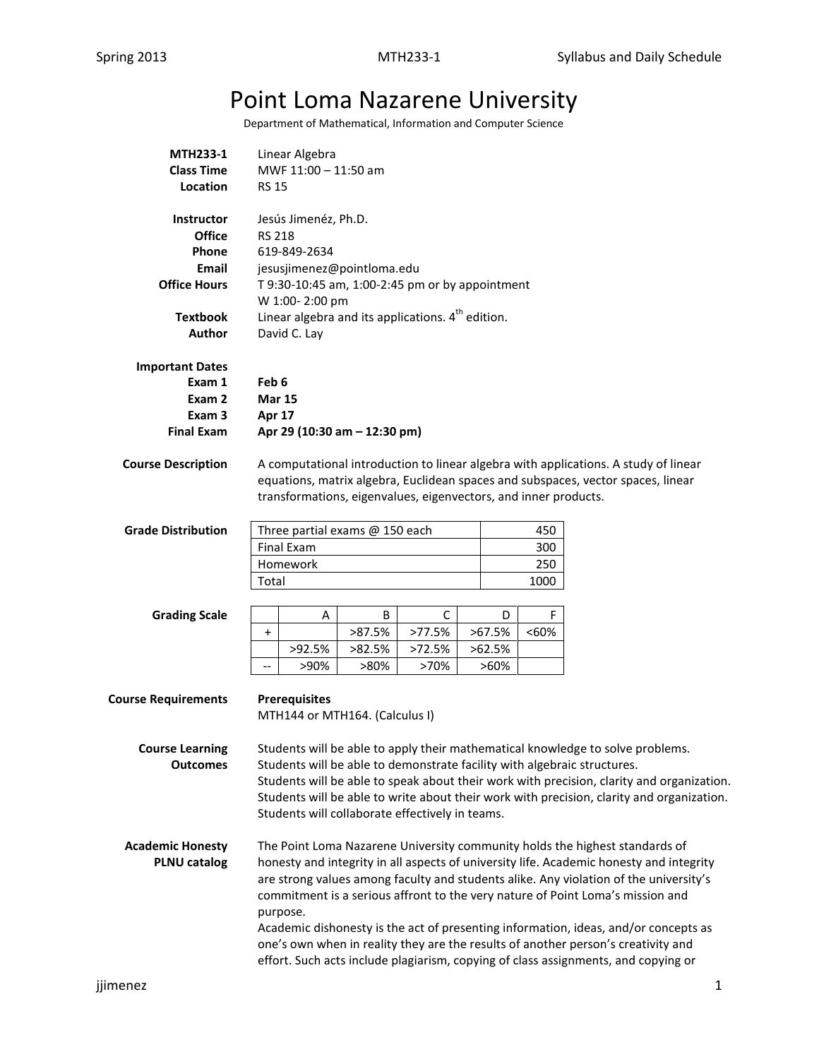## Point Loma Nazarene University

Department of Mathematical, Information and Computer Science

| <b>MTH233-1</b>            | Linear Algebra                                                    |                                                                                                                                                                         |                |                                                                 |                   |      |                                                                                           |  |  |  |
|----------------------------|-------------------------------------------------------------------|-------------------------------------------------------------------------------------------------------------------------------------------------------------------------|----------------|-----------------------------------------------------------------|-------------------|------|-------------------------------------------------------------------------------------------|--|--|--|
| <b>Class Time</b>          | MWF 11:00 - 11:50 am                                              |                                                                                                                                                                         |                |                                                                 |                   |      |                                                                                           |  |  |  |
| Location                   | <b>RS 15</b>                                                      |                                                                                                                                                                         |                |                                                                 |                   |      |                                                                                           |  |  |  |
|                            |                                                                   |                                                                                                                                                                         |                |                                                                 |                   |      |                                                                                           |  |  |  |
| <b>Instructor</b>          | Jesús Jimenéz, Ph.D.                                              |                                                                                                                                                                         |                |                                                                 |                   |      |                                                                                           |  |  |  |
| <b>Office</b>              | <b>RS 218</b>                                                     |                                                                                                                                                                         |                |                                                                 |                   |      |                                                                                           |  |  |  |
| <b>Phone</b>               | 619-849-2634                                                      |                                                                                                                                                                         |                |                                                                 |                   |      |                                                                                           |  |  |  |
| Email                      | jesusjimenez@pointloma.edu                                        |                                                                                                                                                                         |                |                                                                 |                   |      |                                                                                           |  |  |  |
| <b>Office Hours</b>        | T 9:30-10:45 am, 1:00-2:45 pm or by appointment<br>W 1:00-2:00 pm |                                                                                                                                                                         |                |                                                                 |                   |      |                                                                                           |  |  |  |
| <b>Textbook</b>            | Linear algebra and its applications. $4th$ edition.               |                                                                                                                                                                         |                |                                                                 |                   |      |                                                                                           |  |  |  |
| Author                     | David C. Lay                                                      |                                                                                                                                                                         |                |                                                                 |                   |      |                                                                                           |  |  |  |
| <b>Important Dates</b>     |                                                                   |                                                                                                                                                                         |                |                                                                 |                   |      |                                                                                           |  |  |  |
| Exam 1                     |                                                                   |                                                                                                                                                                         |                |                                                                 |                   |      |                                                                                           |  |  |  |
| Exam 2                     | Feb 6<br><b>Mar 15</b>                                            |                                                                                                                                                                         |                |                                                                 |                   |      |                                                                                           |  |  |  |
| Exam 3                     | Apr 17                                                            |                                                                                                                                                                         |                |                                                                 |                   |      |                                                                                           |  |  |  |
| <b>Final Exam</b>          | Apr 29 (10:30 am - 12:30 pm)                                      |                                                                                                                                                                         |                |                                                                 |                   |      |                                                                                           |  |  |  |
|                            |                                                                   |                                                                                                                                                                         |                |                                                                 |                   |      |                                                                                           |  |  |  |
| <b>Course Description</b>  |                                                                   |                                                                                                                                                                         |                |                                                                 |                   |      | A computational introduction to linear algebra with applications. A study of linear       |  |  |  |
|                            |                                                                   |                                                                                                                                                                         |                |                                                                 |                   |      | equations, matrix algebra, Euclidean spaces and subspaces, vector spaces, linear          |  |  |  |
|                            |                                                                   |                                                                                                                                                                         |                | transformations, eigenvalues, eigenvectors, and inner products. |                   |      |                                                                                           |  |  |  |
|                            |                                                                   |                                                                                                                                                                         |                |                                                                 |                   |      |                                                                                           |  |  |  |
| <b>Grade Distribution</b>  |                                                                   | Three partial exams @ 150 each                                                                                                                                          |                |                                                                 |                   | 450  |                                                                                           |  |  |  |
|                            |                                                                   | <b>Final Exam</b>                                                                                                                                                       |                |                                                                 |                   | 300  |                                                                                           |  |  |  |
|                            |                                                                   | Homework                                                                                                                                                                |                |                                                                 |                   | 250  |                                                                                           |  |  |  |
|                            | Total                                                             |                                                                                                                                                                         |                |                                                                 |                   | 1000 |                                                                                           |  |  |  |
|                            |                                                                   |                                                                                                                                                                         |                |                                                                 |                   |      |                                                                                           |  |  |  |
| <b>Grading Scale</b>       |                                                                   | Α                                                                                                                                                                       | B              | C                                                               | D                 | F    |                                                                                           |  |  |  |
|                            | $\ddot{}$                                                         |                                                                                                                                                                         | >87.5%         | >77.5%                                                          | >67.5%            | <60% |                                                                                           |  |  |  |
|                            |                                                                   | >92.5%<br>>90%                                                                                                                                                          | >82.5%<br>>80% | >72.5%<br>>70%                                                  | >62.5%<br>$>60\%$ |      |                                                                                           |  |  |  |
|                            | $\overline{\phantom{a}}$                                          |                                                                                                                                                                         |                |                                                                 |                   |      |                                                                                           |  |  |  |
| <b>Course Requirements</b> |                                                                   | <b>Prerequisites</b>                                                                                                                                                    |                |                                                                 |                   |      |                                                                                           |  |  |  |
|                            |                                                                   | MTH144 or MTH164. (Calculus I)                                                                                                                                          |                |                                                                 |                   |      |                                                                                           |  |  |  |
|                            |                                                                   |                                                                                                                                                                         |                |                                                                 |                   |      |                                                                                           |  |  |  |
| <b>Course Learning</b>     |                                                                   |                                                                                                                                                                         |                |                                                                 |                   |      | Students will be able to apply their mathematical knowledge to solve problems.            |  |  |  |
| <b>Outcomes</b>            |                                                                   |                                                                                                                                                                         |                |                                                                 |                   |      | Students will be able to demonstrate facility with algebraic structures.                  |  |  |  |
|                            |                                                                   |                                                                                                                                                                         |                |                                                                 |                   |      | Students will be able to speak about their work with precision, clarity and organization. |  |  |  |
|                            |                                                                   |                                                                                                                                                                         |                | Students will collaborate effectively in teams.                 |                   |      | Students will be able to write about their work with precision, clarity and organization. |  |  |  |
|                            |                                                                   |                                                                                                                                                                         |                |                                                                 |                   |      |                                                                                           |  |  |  |
| <b>Academic Honesty</b>    |                                                                   |                                                                                                                                                                         |                |                                                                 |                   |      | The Point Loma Nazarene University community holds the highest standards of               |  |  |  |
| <b>PLNU catalog</b>        |                                                                   |                                                                                                                                                                         |                |                                                                 |                   |      | honesty and integrity in all aspects of university life. Academic honesty and integrity   |  |  |  |
|                            |                                                                   |                                                                                                                                                                         |                |                                                                 |                   |      |                                                                                           |  |  |  |
|                            |                                                                   | are strong values among faculty and students alike. Any violation of the university's<br>commitment is a serious affront to the very nature of Point Loma's mission and |                |                                                                 |                   |      |                                                                                           |  |  |  |
|                            |                                                                   | purpose.                                                                                                                                                                |                |                                                                 |                   |      |                                                                                           |  |  |  |
|                            |                                                                   | Academic dishonesty is the act of presenting information, ideas, and/or concepts as                                                                                     |                |                                                                 |                   |      |                                                                                           |  |  |  |
|                            |                                                                   | one's own when in reality they are the results of another person's creativity and                                                                                       |                |                                                                 |                   |      |                                                                                           |  |  |  |
|                            |                                                                   | effort. Such acts include plagiarism, copying of class assignments, and copying or                                                                                      |                |                                                                 |                   |      |                                                                                           |  |  |  |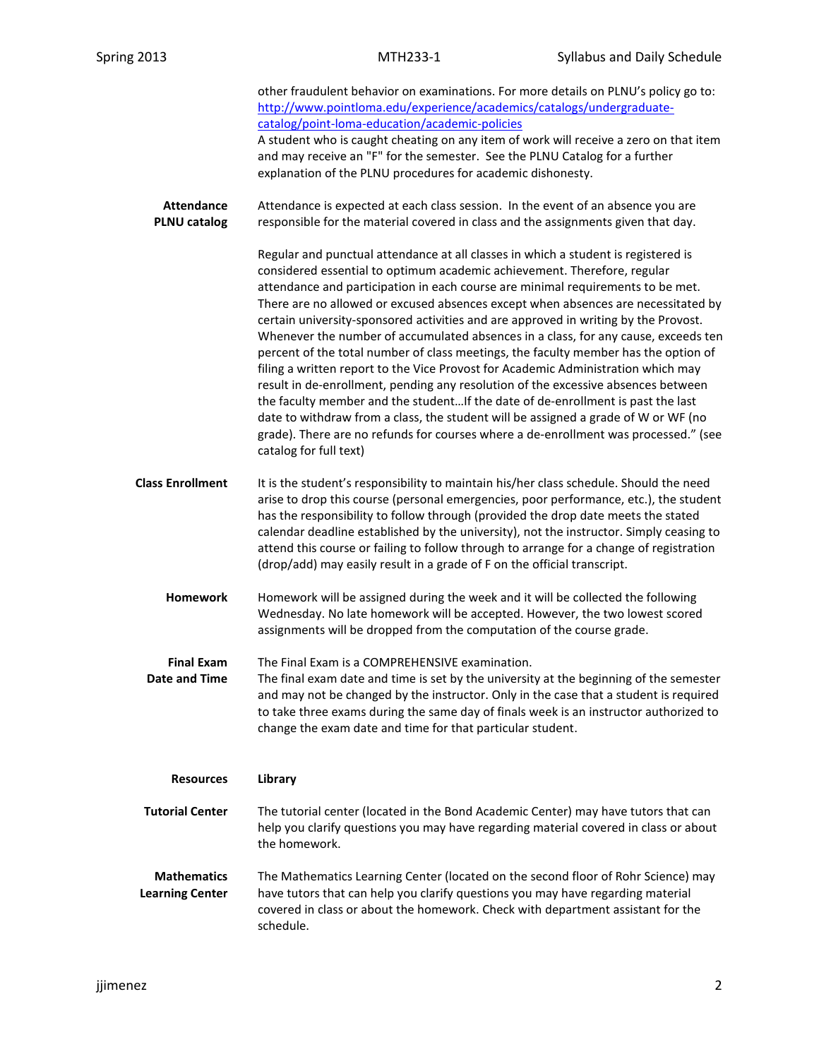|                                              | other fraudulent behavior on examinations. For more details on PLNU's policy go to:<br>http://www.pointloma.edu/experience/academics/catalogs/undergraduate-<br>catalog/point-loma-education/academic-policies<br>A student who is caught cheating on any item of work will receive a zero on that item<br>and may receive an "F" for the semester. See the PLNU Catalog for a further<br>explanation of the PLNU procedures for academic dishonesty.                                                                                                                                                                                                                                                                                                                                                                                                                                                                                                                                                                                                                          |
|----------------------------------------------|--------------------------------------------------------------------------------------------------------------------------------------------------------------------------------------------------------------------------------------------------------------------------------------------------------------------------------------------------------------------------------------------------------------------------------------------------------------------------------------------------------------------------------------------------------------------------------------------------------------------------------------------------------------------------------------------------------------------------------------------------------------------------------------------------------------------------------------------------------------------------------------------------------------------------------------------------------------------------------------------------------------------------------------------------------------------------------|
| <b>Attendance</b><br><b>PLNU catalog</b>     | Attendance is expected at each class session. In the event of an absence you are<br>responsible for the material covered in class and the assignments given that day.                                                                                                                                                                                                                                                                                                                                                                                                                                                                                                                                                                                                                                                                                                                                                                                                                                                                                                          |
|                                              | Regular and punctual attendance at all classes in which a student is registered is<br>considered essential to optimum academic achievement. Therefore, regular<br>attendance and participation in each course are minimal requirements to be met.<br>There are no allowed or excused absences except when absences are necessitated by<br>certain university-sponsored activities and are approved in writing by the Provost.<br>Whenever the number of accumulated absences in a class, for any cause, exceeds ten<br>percent of the total number of class meetings, the faculty member has the option of<br>filing a written report to the Vice Provost for Academic Administration which may<br>result in de-enrollment, pending any resolution of the excessive absences between<br>the faculty member and the studentIf the date of de-enrollment is past the last<br>date to withdraw from a class, the student will be assigned a grade of W or WF (no<br>grade). There are no refunds for courses where a de-enrollment was processed." (see<br>catalog for full text) |
| <b>Class Enrollment</b>                      | It is the student's responsibility to maintain his/her class schedule. Should the need<br>arise to drop this course (personal emergencies, poor performance, etc.), the student<br>has the responsibility to follow through (provided the drop date meets the stated<br>calendar deadline established by the university), not the instructor. Simply ceasing to<br>attend this course or failing to follow through to arrange for a change of registration<br>(drop/add) may easily result in a grade of F on the official transcript.                                                                                                                                                                                                                                                                                                                                                                                                                                                                                                                                         |
| <b>Homework</b>                              | Homework will be assigned during the week and it will be collected the following<br>Wednesday. No late homework will be accepted. However, the two lowest scored<br>assignments will be dropped from the computation of the course grade.                                                                                                                                                                                                                                                                                                                                                                                                                                                                                                                                                                                                                                                                                                                                                                                                                                      |
| <b>Final Exam</b><br><b>Date and Time</b>    | The Final Exam is a COMPREHENSIVE examination.<br>The final exam date and time is set by the university at the beginning of the semester<br>and may not be changed by the instructor. Only in the case that a student is required<br>to take three exams during the same day of finals week is an instructor authorized to<br>change the exam date and time for that particular student.                                                                                                                                                                                                                                                                                                                                                                                                                                                                                                                                                                                                                                                                                       |
| <b>Resources</b>                             | Library                                                                                                                                                                                                                                                                                                                                                                                                                                                                                                                                                                                                                                                                                                                                                                                                                                                                                                                                                                                                                                                                        |
| <b>Tutorial Center</b>                       | The tutorial center (located in the Bond Academic Center) may have tutors that can<br>help you clarify questions you may have regarding material covered in class or about<br>the homework.                                                                                                                                                                                                                                                                                                                                                                                                                                                                                                                                                                                                                                                                                                                                                                                                                                                                                    |
| <b>Mathematics</b><br><b>Learning Center</b> | The Mathematics Learning Center (located on the second floor of Rohr Science) may<br>have tutors that can help you clarify questions you may have regarding material<br>covered in class or about the homework. Check with department assistant for the<br>schedule.                                                                                                                                                                                                                                                                                                                                                                                                                                                                                                                                                                                                                                                                                                                                                                                                           |